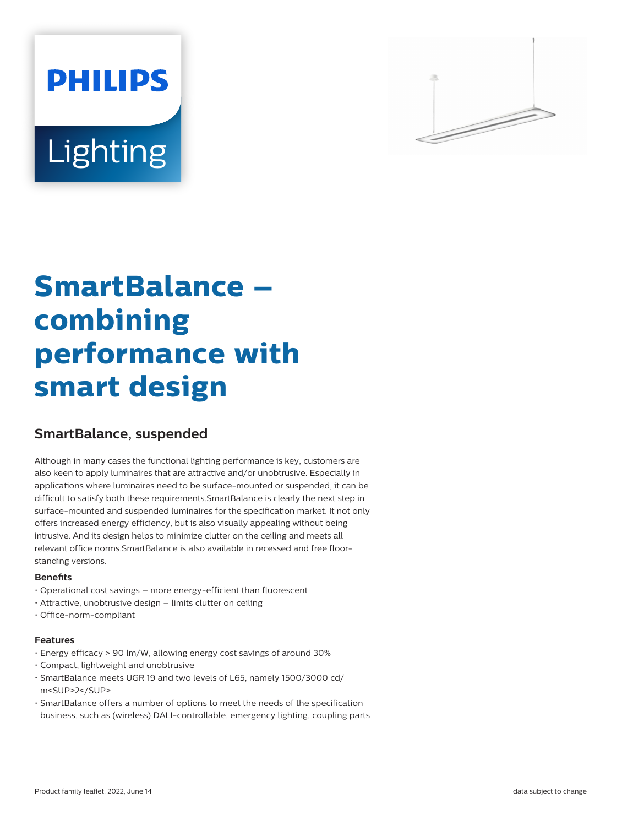# **PHILIPS** Lighting



# **SmartBalance – combining performance with smart design**

# **SmartBalance, suspended**

Although in many cases the functional lighting performance is key, customers are also keen to apply luminaires that are attractive and/or unobtrusive. Especially in applications where luminaires need to be surface-mounted or suspended, it can be difficult to satisfy both these requirements.SmartBalance is clearly the next step in surface-mounted and suspended luminaires for the specification market. It not only offers increased energy efficiency, but is also visually appealing without being intrusive. And its design helps to minimize clutter on the ceiling and meets all relevant office norms.SmartBalance is also available in recessed and free floorstanding versions.

# **Benefits**

- Operational cost savings more energy-efficient than fluorescent
- Attractive, unobtrusive design limits clutter on ceiling
- Office-norm-compliant

#### **Features**

- Energy efficacy > 90 lm/W, allowing energy cost savings of around 30%
- Compact, lightweight and unobtrusive
- SmartBalance meets UGR 19 and two levels of L65, namely 1500/3000 cd/ m<SUP>2</SUP>
- SmartBalance offers a number of options to meet the needs of the specification business, such as (wireless) DALI-controllable, emergency lighting, coupling parts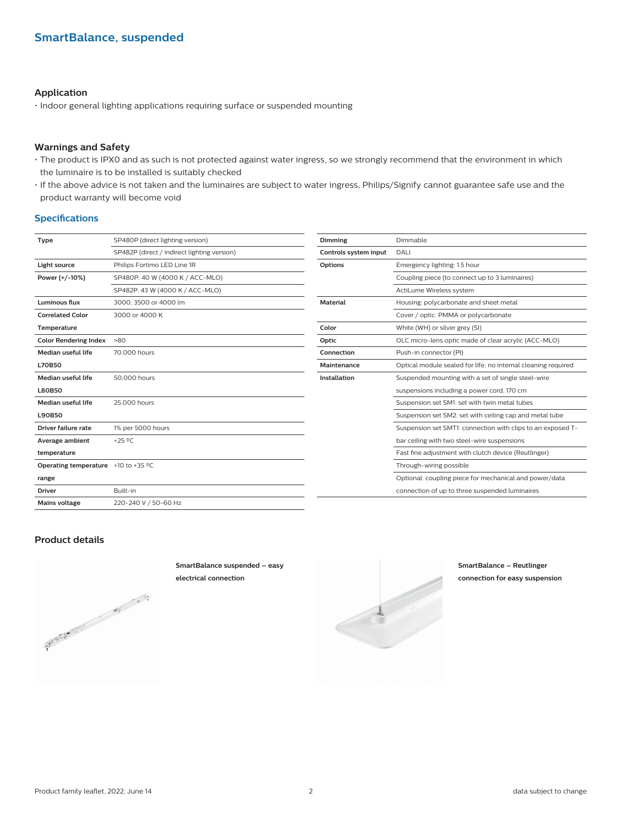# **Application**

• Indoor general lighting applications requiring surface or suspended mounting

#### **Warnings and Safety**

- The product is IPX0 and as such is not protected against water ingress, so we strongly recommend that the environment in which the luminaire is to be installed is suitably checked
- If the above advice is not taken and the luminaires are subject to water ingress, Philips/Signify cannot guarantee safe use and the product warranty will become void

#### **Specifications**

| Type                                                 | SP480P (direct lighting version)            | Dimmi          |
|------------------------------------------------------|---------------------------------------------|----------------|
|                                                      | SP482P (direct / indirect lighting version) | Contro         |
| Light source                                         | Philips Fortimo LED Line 1R                 | Option         |
| Power (+/-10%)                                       | SP480P: 40 W (4000 K / ACC-MLO)             |                |
|                                                      | SP482P: 43 W (4000 K / ACC-MLO)             |                |
| <b>Luminous flux</b>                                 | 3000, 3500 or 4000 lm                       | Mater          |
| <b>Correlated Color</b>                              | 3000 or 4000 K                              |                |
| Temperature                                          |                                             | Color          |
| <b>Color Rendering Index</b>                         | $-80$                                       | Optic          |
| Median useful life                                   | 70,000 hours                                | Conne          |
| <b>L70B50</b>                                        |                                             | <b>Maint</b>   |
| <b>Median useful life</b>                            | 50,000 hours                                | <b>Install</b> |
| <b>L80B50</b>                                        |                                             |                |
| Median useful life                                   | 25,000 hours                                |                |
| <b>L90B50</b>                                        |                                             |                |
| Driver failure rate                                  | 1% per 5000 hours                           |                |
| Average ambient                                      | +25 $°C$                                    |                |
| temperature                                          |                                             |                |
| <b>Operating temperature</b> +10 to +35 $^{\circ}$ C |                                             |                |
| range                                                |                                             |                |
| <b>Driver</b>                                        | Built-in                                    |                |
| <b>Mains voltage</b>                                 | 220-240 V / 50-60 Hz                        |                |
|                                                      |                                             |                |

| Dimming               | Dimmable                                                      |
|-----------------------|---------------------------------------------------------------|
| Controls system input | DALI                                                          |
| <b>Options</b>        | Emergency lighting: 1.5 hour                                  |
|                       | Coupling piece (to connect up to 3 luminaires)                |
|                       | ActiLume Wireless system                                      |
| <b>Material</b>       | Housing: polycarbonate and sheet metal                        |
|                       | Cover / optic: PMMA or polycarbonate                          |
| Color                 | White (WH) or silver grey (SI)                                |
| Optic                 | OLC micro-lens optic made of clear acrylic (ACC-MLO)          |
| Connection            | Push-in connector (PI)                                        |
| Maintenance           | Optical module sealed for life; no internal cleaning required |
| Installation          | Suspended mounting with a set of single steel-wire            |
|                       | suspensions including a power cord, 170 cm                    |
|                       | Suspension set SM1: set with twin metal tubes                 |
|                       | Suspension set SM2: set with ceiling cap and metal tube       |
|                       | Suspension set SMT1: connection with clips to an exposed T-   |
|                       | bar ceiling with two steel-wire suspensions                   |
|                       | Fast fine adjustment with clutch device (Reutlinger)          |
|                       | Through-wiring possible                                       |
|                       | Optional: coupling piece for mechanical and power/data        |
|                       | connection of up to three suspended luminaires                |
|                       |                                                               |

#### **Product details**



**SmartBalance suspended – easy electrical connection**



**SmartBalance – Reutlinger connection for easy suspension**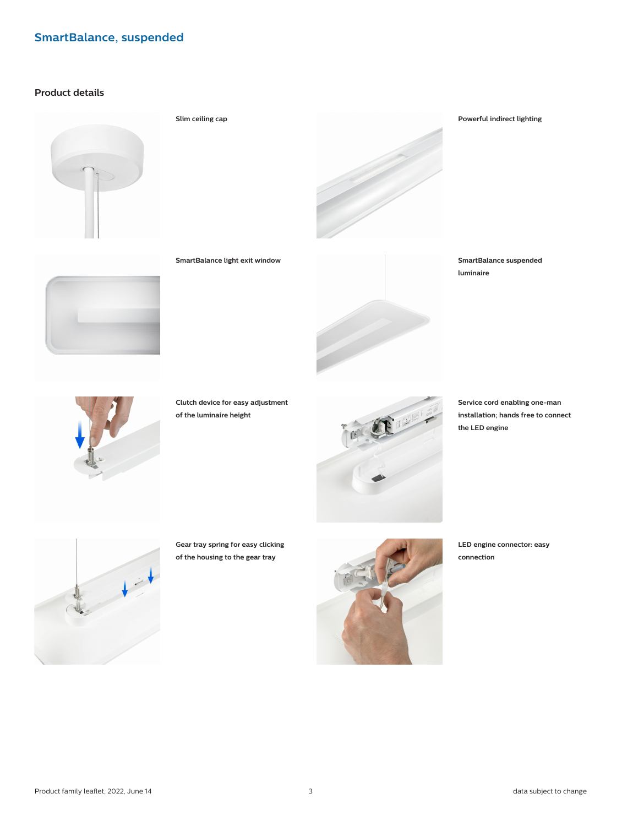# **Product details**





**SmartBalance light exit window SmartBalance suspended luminaire**



**Clutch device for easy adjustment of the luminaire height**



**Service cord enabling one-man installation; hands free to connect the LED engine**



**Gear tray spring for easy clicking of the housing to the gear tray**



**LED engine connector: easy connection**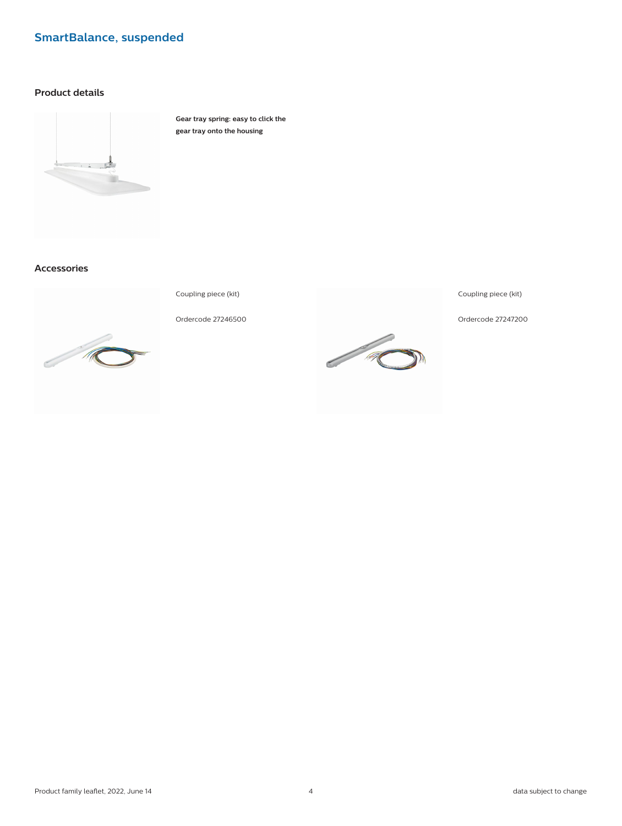# **Product details**



**Gear tray spring: easy to click the gear tray onto the housing**

# **Accessories**



Coupling piece (kit)

Ordercode 27246500



Coupling piece (kit)

Ordercode 27247200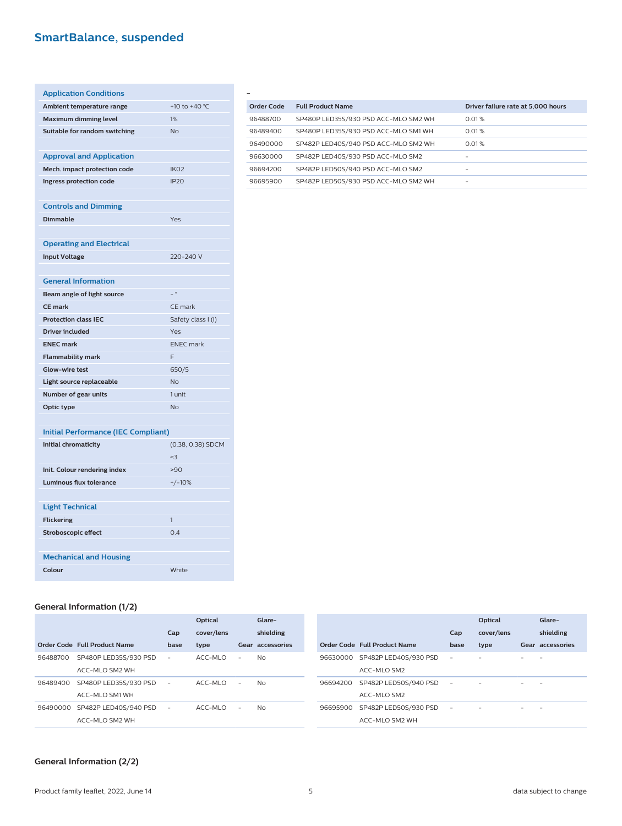| <b>Application Conditions</b>              |                          |
|--------------------------------------------|--------------------------|
| Ambient temperature range                  | +10 to +40 °C            |
| <b>Maximum dimming level</b>               | 1%                       |
| Suitable for random switching              | <b>No</b>                |
|                                            |                          |
| <b>Approval and Application</b>            |                          |
| Mech. impact protection code               | IK <sub>O</sub> 2        |
| Ingress protection code                    | <b>IP20</b>              |
|                                            |                          |
| <b>Controls and Dimming</b>                |                          |
| <b>Dimmable</b>                            | Yes                      |
|                                            |                          |
| <b>Operating and Electrical</b>            |                          |
| <b>Input Voltage</b>                       | 220-240 V                |
|                                            |                          |
| <b>General Information</b>                 |                          |
| Beam angle of light source                 | $\overline{\phantom{a}}$ |
| <b>CE mark</b>                             | CE mark                  |
| <b>Protection class IEC</b>                | Safety class I (I)       |
| <b>Driver included</b>                     | Yes                      |
| <b>ENEC mark</b>                           | <b>ENEC</b> mark         |
| <b>Flammability mark</b>                   | F                        |
| <b>Glow-wire test</b>                      | 650/5                    |
| Light source replaceable                   | <b>No</b>                |
| Number of gear units                       | 1 unit                   |
| Optic type                                 | <b>No</b>                |
|                                            |                          |
| <b>Initial Performance (IEC Compliant)</b> |                          |
| Initial chromaticity                       | (0.38, 0.38) SDCM        |
|                                            | $3$                      |
| Init. Colour rendering index               | >90                      |
| <b>Luminous flux tolerance</b>             | $+/-10%$                 |
|                                            |                          |
| <b>Light Technical</b>                     |                          |
| <b>Flickering</b>                          | 1                        |
| <b>Stroboscopic effect</b>                 | 0.4                      |
|                                            |                          |
| <b>Mechanical and Housing</b>              |                          |
| Colour                                     | White                    |

| Order Code | <b>Full Product Name</b>             | Driver failure rate at 5,000 hours |
|------------|--------------------------------------|------------------------------------|
| 96488700   | SP480P LED35S/930 PSD ACC-MLO SM2 WH | 0.01%                              |
| 96489400   | SP480P LED35S/930 PSD ACC-MLO SM1 WH | 0.01%                              |
| 96490000   | SP482P LED40S/940 PSD ACC-MLO SM2 WH | 0.01%                              |
| 96630000   | SP482P LED40S/930 PSD ACC-MLO SM2    |                                    |
| 96694200   | SP482P LED50S/940 PSD ACC-MLO SM2    | -                                  |
| 96695900   | SP482P LED50S/930 PSD ACC-MLO SM2 WH |                                    |

# **General Information (1/2)**

|          |                                |                          | Optical    |   | Glare-           |
|----------|--------------------------------|--------------------------|------------|---|------------------|
|          |                                | Cap                      | cover/lens |   | shielding        |
|          | Order Code Full Product Name   | base                     | type       |   | Gear accessories |
| 96488700 | SP480P LED35S/930 PSD          | $\overline{\phantom{a}}$ | ACC-MLO    | ٠ | N <sub>o</sub>   |
|          | ACC-MLO SM2 WH                 |                          |            |   |                  |
| 96489400 | SP480P LED35S/930 PSD          | $\overline{\phantom{0}}$ | ACC-MLO    | ٠ | N <sub>o</sub>   |
|          | ACC-MLO SM1 WH                 |                          |            |   |                  |
|          | 96490000 SP482P LED40S/940 PSD |                          | ACC-MLO    | ٠ | N <sub>o</sub>   |
|          | ACC-MLO SM2 WH                 |                          |            |   |                  |

|                                | Cap  | Optical<br>cover/lens | Glare-<br>shielding |
|--------------------------------|------|-----------------------|---------------------|
| Order Code Full Product Name   | base | type                  | Gear accessories    |
| 96630000 SP482P LED40S/930 PSD |      |                       |                     |
| ACC-MLO SM2                    |      |                       |                     |
| 96694200 SP482P LED50S/940 PSD |      |                       |                     |
| ACC-MLO SM2                    |      |                       |                     |
| 96695900 SP482P LED50S/930 PSD |      |                       |                     |
| ACC-MLO SM2 WH                 |      |                       |                     |

## **General Information (2/2)**